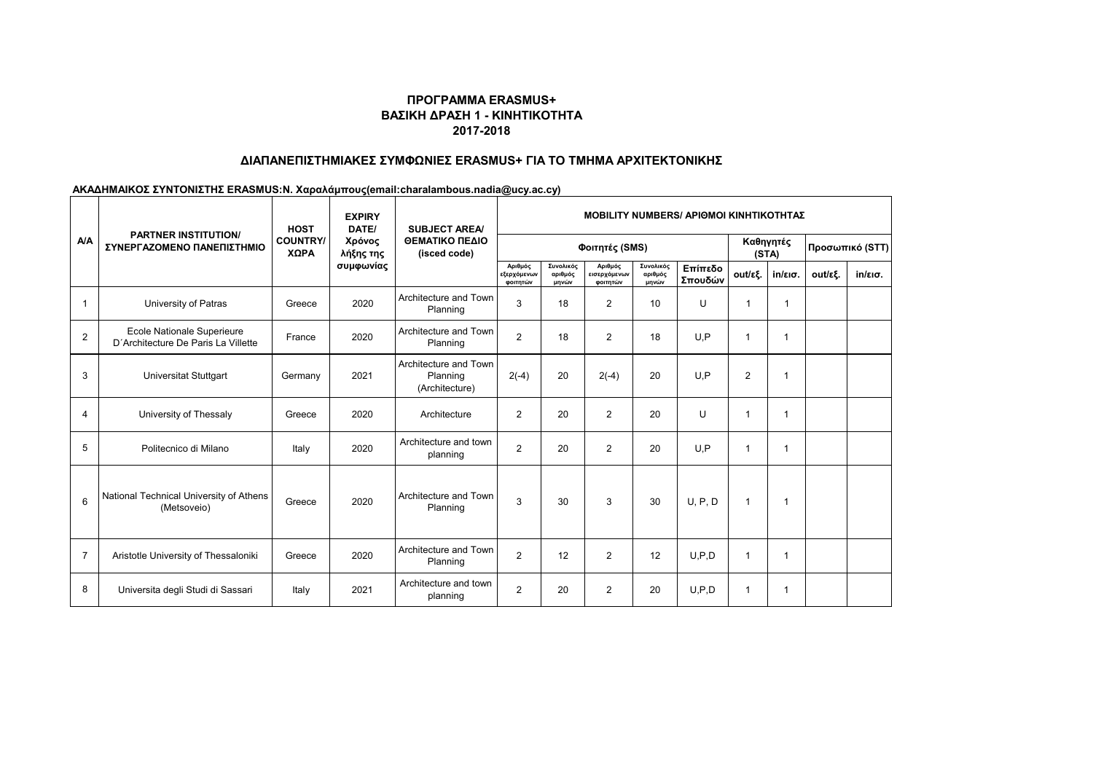# **ΠΡΟΓΡΑΜΜΑ ERASMUS+ ΒΑΣΙΚΗ ΔΡΑΣΗ 1 - ΚΙΝΗΤΙΚΟΤΗΤΑ 2017-2018**

## **ΔΙΑΠΑΝΕΠΙΣΤΗΜΙΑΚΕΣ ΣΥΜΦΩΝΙΕΣ ERASMUS+ ΓΙΑ ΤΟ ΤΜΗΜΑ ΑΡΧΙΤΕΚΤΟΝΙΚΗΣ**

### **ΑΚΑΔΗΜΑΙΚΟΣ ΣΥΝΤΟΝΙΣΤΗΣ ERASMUS:Ν. Χαραλάμπους(email:charalambous.nadia@ucy.ac.cy)**

| <b>A/A</b>     | <b>PARTNER INSTITUTION/</b><br>ΣΥΝΕΡΓΑΖΟΜΕΝΟ ΠΑΝΕΠΙΣΤΗΜΙΟ         | <b>HOST</b><br><b>COUNTRY/</b><br>ΧΩΡΑ | <b>EXPIRY</b><br>DATE/<br>Χρόνος<br>λήξης της<br>συμφωνίας | <b>SUBJECT AREA/</b><br>ΘΕΜΑΤΙΚΟ ΠΕΔΙΟ<br>(isced code) | <b>MOBILITY NUMBERS/ APIOMOI KINHTIKOTHTAZ</b> |                               |                                     |                               |                    |                    |                   |                 |                   |
|----------------|-------------------------------------------------------------------|----------------------------------------|------------------------------------------------------------|--------------------------------------------------------|------------------------------------------------|-------------------------------|-------------------------------------|-------------------------------|--------------------|--------------------|-------------------|-----------------|-------------------|
|                |                                                                   |                                        |                                                            |                                                        | Φοιτητές (SMS)                                 |                               |                                     |                               |                    | Καθηγητές<br>(STA) |                   | Προσωπικό (STT) |                   |
|                |                                                                   |                                        |                                                            |                                                        | Αριθμός<br>εξερχόμενων<br>φοιτητών             | Συνολικός<br>αριθμός<br>μηνών | Αριθμός<br>εισερχόμενων<br>φοιτητών | Συνολικός<br>αριθμός<br>μηνών | Επίπεδο<br>Σπουδών | out/εξ.            | $in/\epsilon$ ισ. | out/εξ.         | $in/\epsilon$ ισ. |
|                | University of Patras                                              | Greece                                 | 2020                                                       | Architecture and Town<br>Planning                      | 3                                              | 18                            | $\overline{2}$                      | 10                            | U                  | 1                  |                   |                 |                   |
| $\overline{2}$ | Ecole Nationale Superieure<br>D'Architecture De Paris La Villette | France                                 | 2020                                                       | Architecture and Town<br>Planning                      | $\overline{2}$                                 | 18                            | $\overline{2}$                      | 18                            | U.P                | $\mathbf{1}$       | 1                 |                 |                   |
| 3              | <b>Universitat Stuttgart</b>                                      | Germany                                | 2021                                                       | Architecture and Town<br>Planning<br>(Architecture)    | $2(-4)$                                        | 20                            | $2(-4)$                             | 20                            | U.P                | $\overline{2}$     | 1                 |                 |                   |
| 4              | University of Thessaly                                            | Greece                                 | 2020                                                       | Architecture                                           | $\overline{2}$                                 | 20                            | $\overline{2}$                      | 20                            | U                  | 1                  | -1                |                 |                   |
| 5              | Politecnico di Milano                                             | Italy                                  | 2020                                                       | Architecture and town<br>planning                      | $\overline{2}$                                 | 20                            | $\overline{2}$                      | 20                            | U.P                | 1                  | $\overline{1}$    |                 |                   |
| 6              | National Technical University of Athens<br>(Metsoveio)            | Greece                                 | 2020                                                       | Architecture and Town<br>Planning                      | 3                                              | 30                            | 3                                   | 30                            | U, P, D            | $\mathbf{1}$       | -1                |                 |                   |
| $\overline{7}$ | Aristotle University of Thessaloniki                              | Greece                                 | 2020                                                       | Architecture and Town<br>Planning                      | $\overline{2}$                                 | 12                            | $\overline{2}$                      | 12                            | U.P.D              | -1                 | -1                |                 |                   |
| 8              | Universita degli Studi di Sassari                                 | Italy                                  | 2021                                                       | Architecture and town<br>planning                      | $\overline{2}$                                 | 20                            | $\overline{2}$                      | 20                            | U.P.D              | 1                  | $\overline{1}$    |                 |                   |